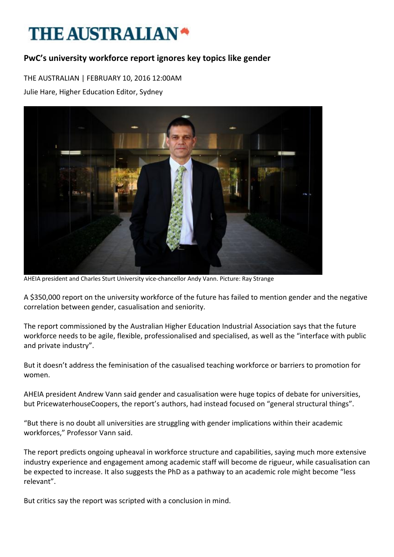## THE AUSTRALIAN<sup>\*</sup>

## **PwC's university workforce report ignores key topics like gender**

THE AUSTRALIAN | FEBRUARY 10, 2016 12:00AM

Julie Hare, Higher Education Editor, Sydney



AHEIA president and Charles Sturt University vice-chancellor Andy Vann. Picture: Ray Strange

A \$350,000 report on the university workforce of the future has failed to mention gender and the negative correlation between gender, casualisation and seniority.

The report commissioned by the Australian Higher Education Industrial Association says that the future workforce needs to be agile, flexible, professionalised and specialised, as well as the "interface with public and private industry".

But it doesn't address the feminisation of the casualised teaching workforce or barriers to promotion for women.

AHEIA president Andrew Vann said gender and casualisation were huge topics of debate for universities, but PricewaterhouseCoopers, the report's authors, had instead focused on "general structural things".

"But there is no doubt all universities are struggling with gender implications within their academic workforces," Professor Vann said.

The report predicts ongoing upheaval in workforce structure and capabilities, saying much more extensive industry experience and engagement among academic staff will become de rigueur, while casualisation can be expected to increase. It also suggests the PhD as a pathway to an academic role might become "less relevant".

But critics say the report was scripted with a conclusion in mind.